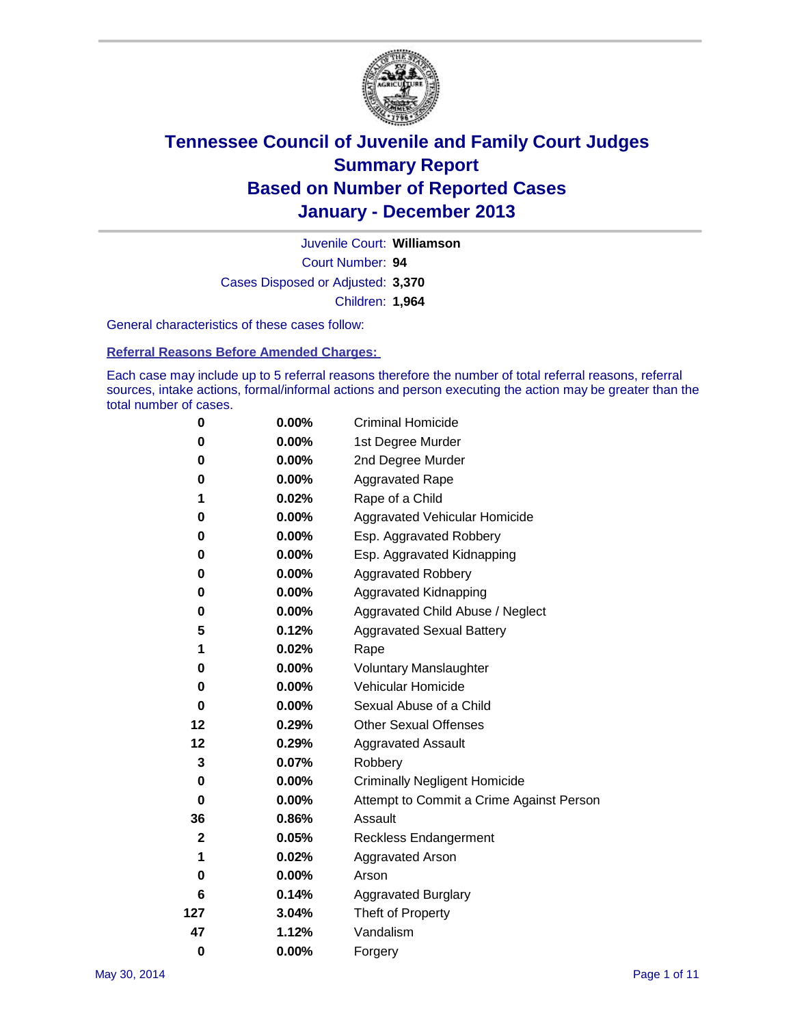

Court Number: **94** Juvenile Court: **Williamson** Cases Disposed or Adjusted: **3,370** Children: **1,964**

General characteristics of these cases follow:

**Referral Reasons Before Amended Charges:** 

Each case may include up to 5 referral reasons therefore the number of total referral reasons, referral sources, intake actions, formal/informal actions and person executing the action may be greater than the total number of cases.

| 0                | 0.00%    | <b>Criminal Homicide</b>                 |
|------------------|----------|------------------------------------------|
| 0                | 0.00%    | 1st Degree Murder                        |
| 0                | 0.00%    | 2nd Degree Murder                        |
| 0                | 0.00%    | <b>Aggravated Rape</b>                   |
| 1                | 0.02%    | Rape of a Child                          |
| 0                | 0.00%    | Aggravated Vehicular Homicide            |
| 0                | 0.00%    | Esp. Aggravated Robbery                  |
| 0                | 0.00%    | Esp. Aggravated Kidnapping               |
| 0                | $0.00\%$ | <b>Aggravated Robbery</b>                |
| 0                | 0.00%    | Aggravated Kidnapping                    |
| 0                | 0.00%    | Aggravated Child Abuse / Neglect         |
| 5                | 0.12%    | <b>Aggravated Sexual Battery</b>         |
| 1                | 0.02%    | Rape                                     |
| 0                | 0.00%    | <b>Voluntary Manslaughter</b>            |
| 0                | $0.00\%$ | Vehicular Homicide                       |
| 0                | 0.00%    | Sexual Abuse of a Child                  |
| 12               | 0.29%    | <b>Other Sexual Offenses</b>             |
| 12               | 0.29%    | <b>Aggravated Assault</b>                |
| 3                | 0.07%    | Robbery                                  |
| 0                | 0.00%    | <b>Criminally Negligent Homicide</b>     |
| 0                | 0.00%    | Attempt to Commit a Crime Against Person |
| 36               | 0.86%    | Assault                                  |
| $\boldsymbol{2}$ | 0.05%    | <b>Reckless Endangerment</b>             |
| 1                | 0.02%    | <b>Aggravated Arson</b>                  |
| 0                | $0.00\%$ | Arson                                    |
| 6                | 0.14%    | <b>Aggravated Burglary</b>               |
| 127              | 3.04%    | Theft of Property                        |
| 47               | 1.12%    | Vandalism                                |
| $\bf{0}$         | 0.00%    | Forgery                                  |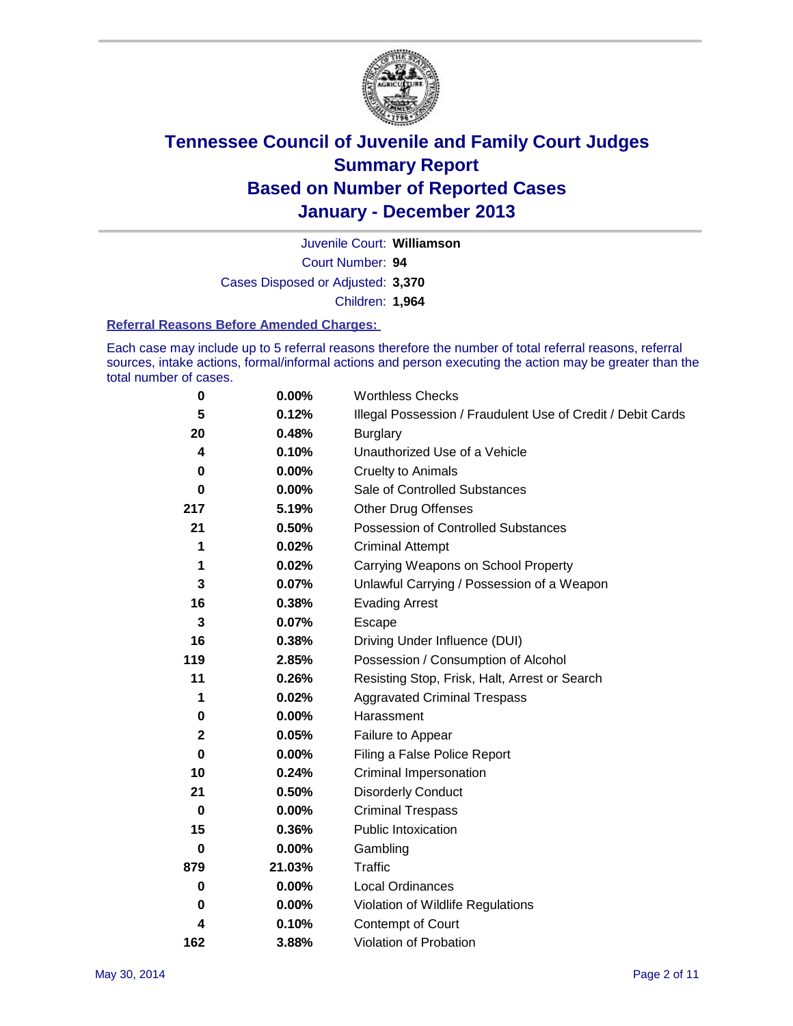

Court Number: **94** Juvenile Court: **Williamson** Cases Disposed or Adjusted: **3,370** Children: **1,964**

#### **Referral Reasons Before Amended Charges:**

Each case may include up to 5 referral reasons therefore the number of total referral reasons, referral sources, intake actions, formal/informal actions and person executing the action may be greater than the total number of cases.

| 0   | 0.00%    | <b>Worthless Checks</b>                                     |
|-----|----------|-------------------------------------------------------------|
| 5   | 0.12%    | Illegal Possession / Fraudulent Use of Credit / Debit Cards |
| 20  | 0.48%    | <b>Burglary</b>                                             |
| 4   | 0.10%    | Unauthorized Use of a Vehicle                               |
| 0   | $0.00\%$ | <b>Cruelty to Animals</b>                                   |
| 0   | 0.00%    | Sale of Controlled Substances                               |
| 217 | 5.19%    | <b>Other Drug Offenses</b>                                  |
| 21  | 0.50%    | Possession of Controlled Substances                         |
| 1   | 0.02%    | <b>Criminal Attempt</b>                                     |
| 1   | 0.02%    | Carrying Weapons on School Property                         |
| 3   | 0.07%    | Unlawful Carrying / Possession of a Weapon                  |
| 16  | 0.38%    | <b>Evading Arrest</b>                                       |
| 3   | 0.07%    | Escape                                                      |
| 16  | 0.38%    | Driving Under Influence (DUI)                               |
| 119 | 2.85%    | Possession / Consumption of Alcohol                         |
| 11  | 0.26%    | Resisting Stop, Frisk, Halt, Arrest or Search               |
| 1   | 0.02%    | <b>Aggravated Criminal Trespass</b>                         |
| 0   | 0.00%    | Harassment                                                  |
| 2   | 0.05%    | Failure to Appear                                           |
| 0   | 0.00%    | Filing a False Police Report                                |
| 10  | 0.24%    | Criminal Impersonation                                      |
| 21  | 0.50%    | <b>Disorderly Conduct</b>                                   |
| 0   | $0.00\%$ | <b>Criminal Trespass</b>                                    |
| 15  | 0.36%    | <b>Public Intoxication</b>                                  |
| 0   | 0.00%    | Gambling                                                    |
| 879 | 21.03%   | <b>Traffic</b>                                              |
| 0   | $0.00\%$ | <b>Local Ordinances</b>                                     |
| 0   | 0.00%    | Violation of Wildlife Regulations                           |
| 4   | 0.10%    | Contempt of Court                                           |
| 162 | 3.88%    | Violation of Probation                                      |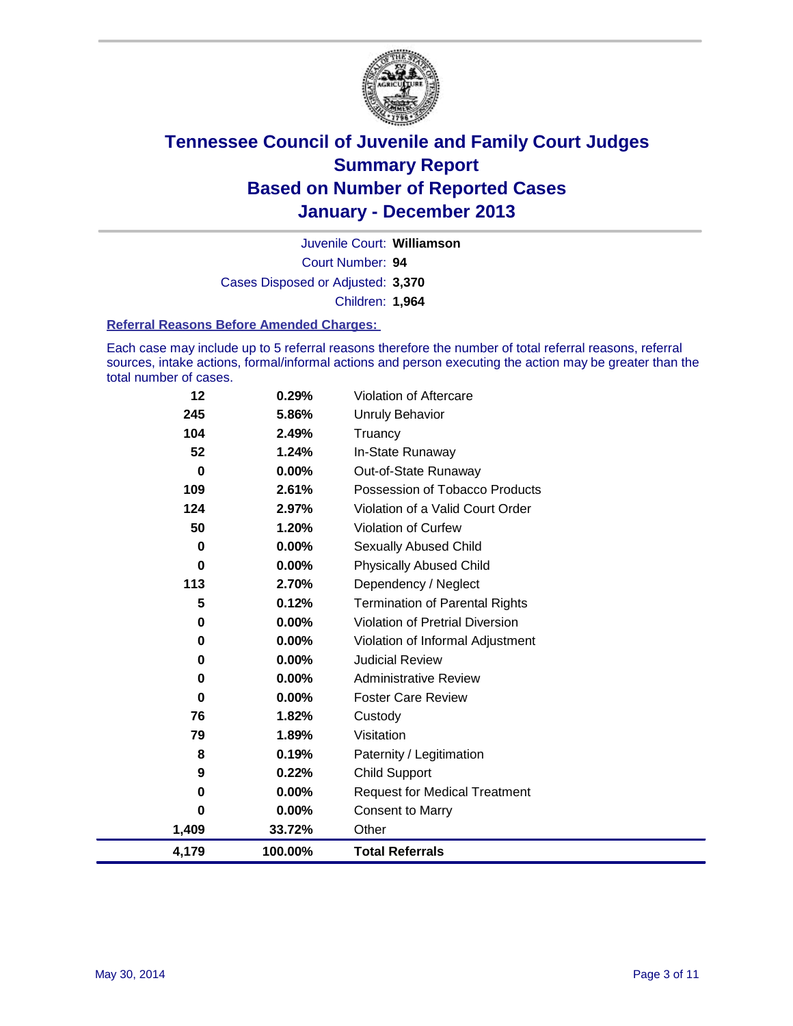

Court Number: **94** Juvenile Court: **Williamson** Cases Disposed or Adjusted: **3,370** Children: **1,964**

#### **Referral Reasons Before Amended Charges:**

Each case may include up to 5 referral reasons therefore the number of total referral reasons, referral sources, intake actions, formal/informal actions and person executing the action may be greater than the total number of cases.

| 12       | 0.29%    | Violation of Aftercare                 |
|----------|----------|----------------------------------------|
| 245      | 5.86%    | Unruly Behavior                        |
| 104      | 2.49%    | Truancy                                |
| 52       | 1.24%    | In-State Runaway                       |
| 0        | $0.00\%$ | Out-of-State Runaway                   |
| 109      | 2.61%    | Possession of Tobacco Products         |
| 124      | 2.97%    | Violation of a Valid Court Order       |
| 50       | 1.20%    | Violation of Curfew                    |
| 0        | $0.00\%$ | <b>Sexually Abused Child</b>           |
| 0        | $0.00\%$ | <b>Physically Abused Child</b>         |
| 113      | 2.70%    | Dependency / Neglect                   |
| 5        | 0.12%    | <b>Termination of Parental Rights</b>  |
| 0        | $0.00\%$ | <b>Violation of Pretrial Diversion</b> |
| 0        | $0.00\%$ | Violation of Informal Adjustment       |
| 0        | $0.00\%$ | <b>Judicial Review</b>                 |
| 0        | $0.00\%$ | <b>Administrative Review</b>           |
| 0        | $0.00\%$ | <b>Foster Care Review</b>              |
| 76       | 1.82%    | Custody                                |
| 79       | 1.89%    | Visitation                             |
| 8        | 0.19%    | Paternity / Legitimation               |
| 9        | 0.22%    | <b>Child Support</b>                   |
| $\bf{0}$ | 0.00%    | <b>Request for Medical Treatment</b>   |
| $\bf{0}$ | 0.00%    | <b>Consent to Marry</b>                |
| 1,409    | 33.72%   | Other                                  |
| 4,179    | 100.00%  | <b>Total Referrals</b>                 |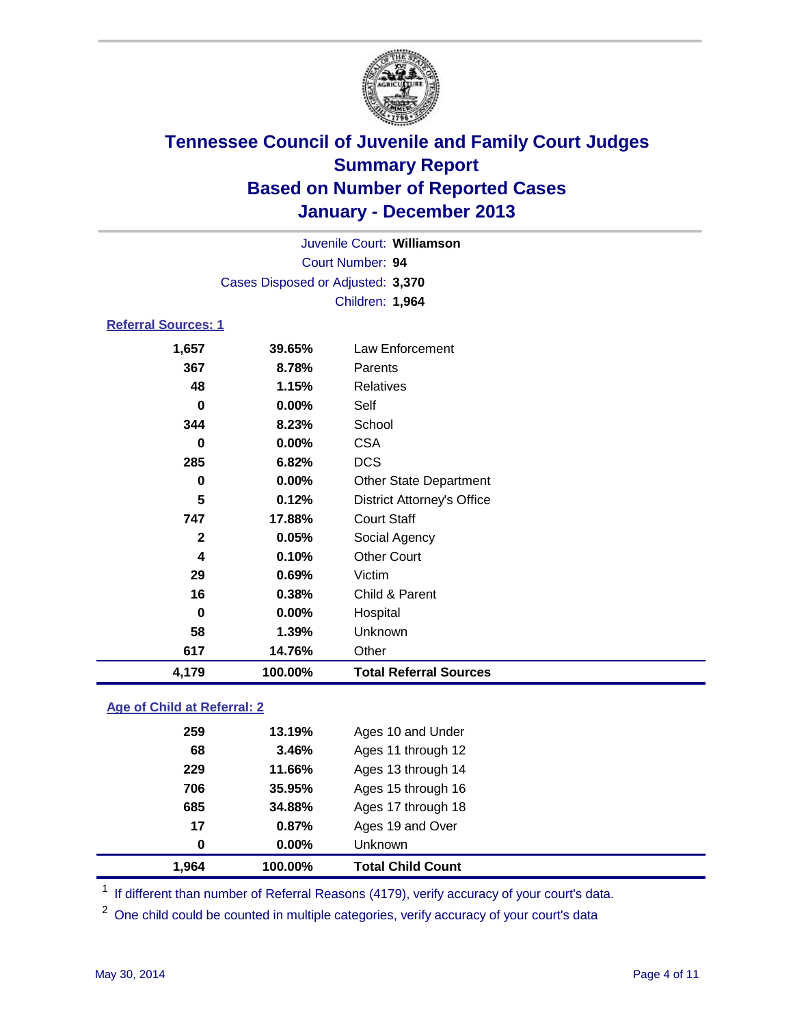

| Juvenile Court: Williamson |                                   |                                   |  |  |  |
|----------------------------|-----------------------------------|-----------------------------------|--|--|--|
| Court Number: 94           |                                   |                                   |  |  |  |
|                            | Cases Disposed or Adjusted: 3,370 |                                   |  |  |  |
|                            |                                   | Children: 1,964                   |  |  |  |
| <b>Referral Sources: 1</b> |                                   |                                   |  |  |  |
| 1,657                      | 39.65%                            | Law Enforcement                   |  |  |  |
| 367                        | 8.78%                             | Parents                           |  |  |  |
| 48                         | 1.15%                             | <b>Relatives</b>                  |  |  |  |
| 0                          | 0.00%                             | Self                              |  |  |  |
| 344                        | 8.23%                             | School                            |  |  |  |
| 0                          | 0.00%                             | <b>CSA</b>                        |  |  |  |
| 285                        | 6.82%                             | <b>DCS</b>                        |  |  |  |
| 0                          | 0.00%                             | <b>Other State Department</b>     |  |  |  |
| 5                          | 0.12%                             | <b>District Attorney's Office</b> |  |  |  |
| 747                        | 17.88%                            | <b>Court Staff</b>                |  |  |  |
| $\mathbf{2}$               | 0.05%                             | Social Agency                     |  |  |  |
| 4                          | 0.10%                             | <b>Other Court</b>                |  |  |  |
| 29                         | 0.69%                             | Victim                            |  |  |  |
| 16                         | 0.38%                             | Child & Parent                    |  |  |  |
| 0                          | 0.00%                             | Hospital                          |  |  |  |
| 58                         | 1.39%                             | Unknown                           |  |  |  |
| 617                        | 14.76%                            | Other                             |  |  |  |

#### **Age of Child at Referral: 2**

| 1.964 | 100.00% | <b>Total Child Count</b> |
|-------|---------|--------------------------|
| 0     | 0.00%   | Unknown                  |
| 17    | 0.87%   | Ages 19 and Over         |
| 685   | 34.88%  | Ages 17 through 18       |
| 706   | 35.95%  | Ages 15 through 16       |
| 229   | 11.66%  | Ages 13 through 14       |
| 68    | 3.46%   | Ages 11 through 12       |
| 259   | 13.19%  | Ages 10 and Under        |
|       |         |                          |

<sup>1</sup> If different than number of Referral Reasons (4179), verify accuracy of your court's data.

<sup>2</sup> One child could be counted in multiple categories, verify accuracy of your court's data

**4,179 100.00% Total Referral Sources**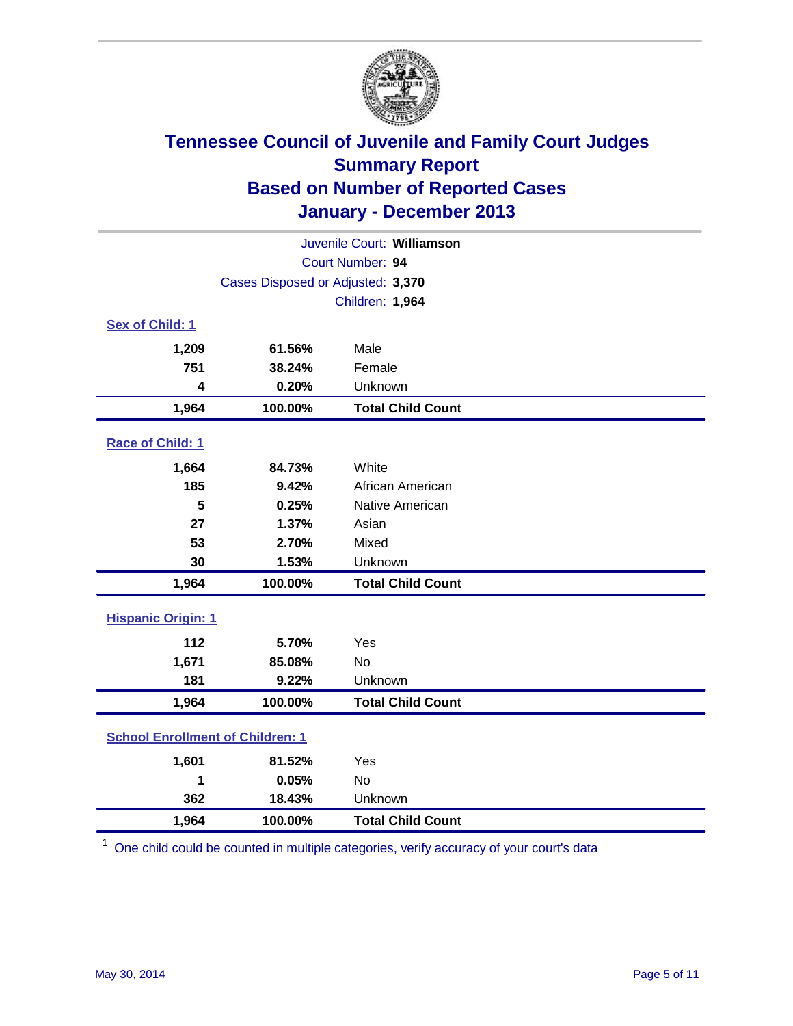

| Juvenile Court: Williamson              |                                   |                          |  |
|-----------------------------------------|-----------------------------------|--------------------------|--|
| Court Number: 94                        |                                   |                          |  |
|                                         | Cases Disposed or Adjusted: 3,370 |                          |  |
|                                         |                                   | Children: 1,964          |  |
| Sex of Child: 1                         |                                   |                          |  |
| 1,209                                   | 61.56%                            | Male                     |  |
| 751                                     | 38.24%                            | Female                   |  |
| 4                                       | 0.20%                             | Unknown                  |  |
| 1,964                                   | 100.00%                           | <b>Total Child Count</b> |  |
| Race of Child: 1                        |                                   |                          |  |
| 1,664                                   | 84.73%                            | White                    |  |
| 185                                     | 9.42%                             | African American         |  |
| 5                                       | 0.25%                             | Native American          |  |
| 27                                      | 1.37%                             | Asian                    |  |
| 53                                      | 2.70%                             | Mixed                    |  |
| 30                                      | 1.53%                             | Unknown                  |  |
| 1,964                                   | 100.00%                           | <b>Total Child Count</b> |  |
| <b>Hispanic Origin: 1</b>               |                                   |                          |  |
| 112                                     | 5.70%                             | Yes                      |  |
| 1,671                                   | 85.08%                            | <b>No</b>                |  |
| 181                                     | 9.22%                             | Unknown                  |  |
| 1,964                                   | 100.00%                           | <b>Total Child Count</b> |  |
| <b>School Enrollment of Children: 1</b> |                                   |                          |  |
| 1,601                                   | 81.52%                            | Yes                      |  |
| 1                                       | 0.05%                             | <b>No</b>                |  |
| 362                                     | 18.43%                            | Unknown                  |  |
| 1,964                                   | 100.00%                           | <b>Total Child Count</b> |  |

<sup>1</sup> One child could be counted in multiple categories, verify accuracy of your court's data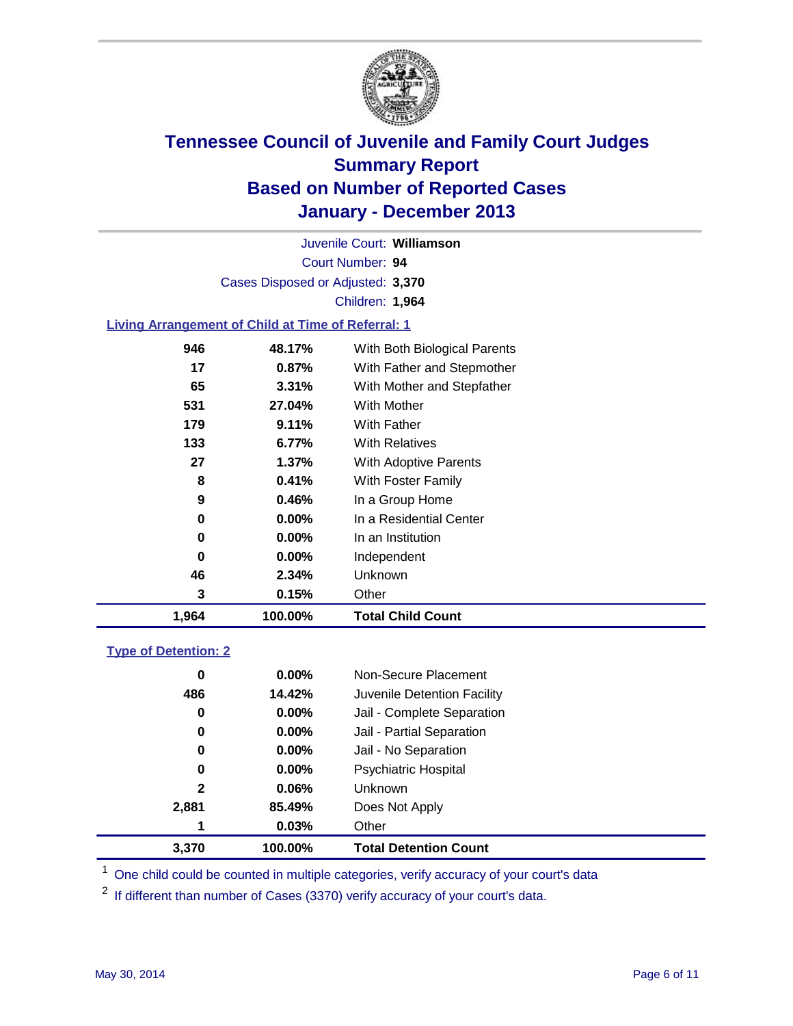

Court Number: **94** Juvenile Court: **Williamson** Cases Disposed or Adjusted: **3,370** Children: **1,964**

### **Living Arrangement of Child at Time of Referral: 1**

| 1,964 | 100.00%  | <b>Total Child Count</b>     |
|-------|----------|------------------------------|
| 3     | 0.15%    | Other                        |
| 46    | 2.34%    | Unknown                      |
| 0     | $0.00\%$ | Independent                  |
| 0     | $0.00\%$ | In an Institution            |
| 0     | $0.00\%$ | In a Residential Center      |
| 9     | 0.46%    | In a Group Home              |
| 8     | 0.41%    | With Foster Family           |
| 27    | 1.37%    | <b>With Adoptive Parents</b> |
| 133   | 6.77%    | <b>With Relatives</b>        |
| 179   | 9.11%    | With Father                  |
| 531   | 27.04%   | With Mother                  |
| 65    | 3.31%    | With Mother and Stepfather   |
| 17    | $0.87\%$ | With Father and Stepmother   |
| 946   | 48.17%   | With Both Biological Parents |
|       |          |                              |

#### **Type of Detention: 2**

| 3.370 | 100.00%  | <b>Total Detention Count</b> |  |
|-------|----------|------------------------------|--|
| 1     | 0.03%    | Other                        |  |
| 2,881 | 85.49%   | Does Not Apply               |  |
| 2     | 0.06%    | <b>Unknown</b>               |  |
| 0     | 0.00%    | <b>Psychiatric Hospital</b>  |  |
| 0     | 0.00%    | Jail - No Separation         |  |
| 0     | $0.00\%$ | Jail - Partial Separation    |  |
| 0     | 0.00%    | Jail - Complete Separation   |  |
| 486   | 14.42%   | Juvenile Detention Facility  |  |
| 0     | $0.00\%$ | Non-Secure Placement         |  |
|       |          |                              |  |

<sup>1</sup> One child could be counted in multiple categories, verify accuracy of your court's data

<sup>2</sup> If different than number of Cases (3370) verify accuracy of your court's data.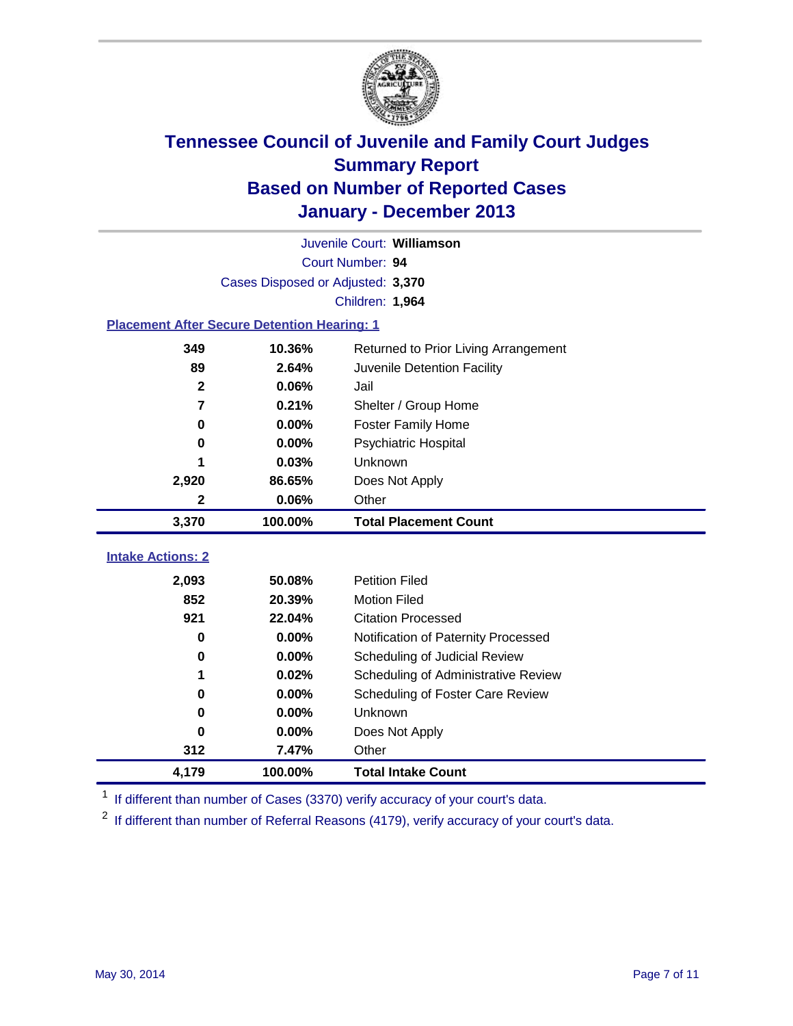

|                                                       | Juvenile Court: Williamson        |                                     |  |  |  |
|-------------------------------------------------------|-----------------------------------|-------------------------------------|--|--|--|
|                                                       | Court Number: 94                  |                                     |  |  |  |
|                                                       | Cases Disposed or Adjusted: 3,370 |                                     |  |  |  |
|                                                       |                                   | Children: 1,964                     |  |  |  |
| <b>Placement After Secure Detention Hearing: 1</b>    |                                   |                                     |  |  |  |
| 10.36%<br>349<br>Returned to Prior Living Arrangement |                                   |                                     |  |  |  |
| 89                                                    | 2.64%                             | Juvenile Detention Facility         |  |  |  |
| $\mathbf{2}$                                          | 0.06%                             | Jail                                |  |  |  |
| 7                                                     | 0.21%                             | Shelter / Group Home                |  |  |  |
| $\mathbf 0$                                           | 0.00%                             | <b>Foster Family Home</b>           |  |  |  |
| 0                                                     | 0.00%                             | Psychiatric Hospital                |  |  |  |
|                                                       | 0.03%                             | Unknown                             |  |  |  |
| 2,920                                                 | 86.65%                            | Does Not Apply                      |  |  |  |
| $\boldsymbol{2}$                                      | 0.06%                             | Other                               |  |  |  |
| 3,370                                                 | 100.00%                           | <b>Total Placement Count</b>        |  |  |  |
|                                                       |                                   |                                     |  |  |  |
| <b>Intake Actions: 2</b>                              |                                   |                                     |  |  |  |
| 2,093                                                 | 50.08%                            | <b>Petition Filed</b>               |  |  |  |
| 852                                                   | 20.39%                            | <b>Motion Filed</b>                 |  |  |  |
| 921                                                   | 22.04%                            | <b>Citation Processed</b>           |  |  |  |
| $\bf{0}$                                              | 0.00%                             | Notification of Paternity Processed |  |  |  |
| 0                                                     | 0.00%                             | Scheduling of Judicial Review       |  |  |  |
| 1                                                     | 0.02%                             | Scheduling of Administrative Review |  |  |  |
| 0                                                     | 0.00%                             | Scheduling of Foster Care Review    |  |  |  |
| $\bf{0}$                                              | 0.00%                             | Unknown                             |  |  |  |
| $\bf{0}$                                              | 0.00%                             | Does Not Apply                      |  |  |  |
| 312                                                   | 7.47%                             | Other                               |  |  |  |
| 4,179                                                 | 100.00%                           | <b>Total Intake Count</b>           |  |  |  |

<sup>1</sup> If different than number of Cases (3370) verify accuracy of your court's data.

 $2$  If different than number of Referral Reasons (4179), verify accuracy of your court's data.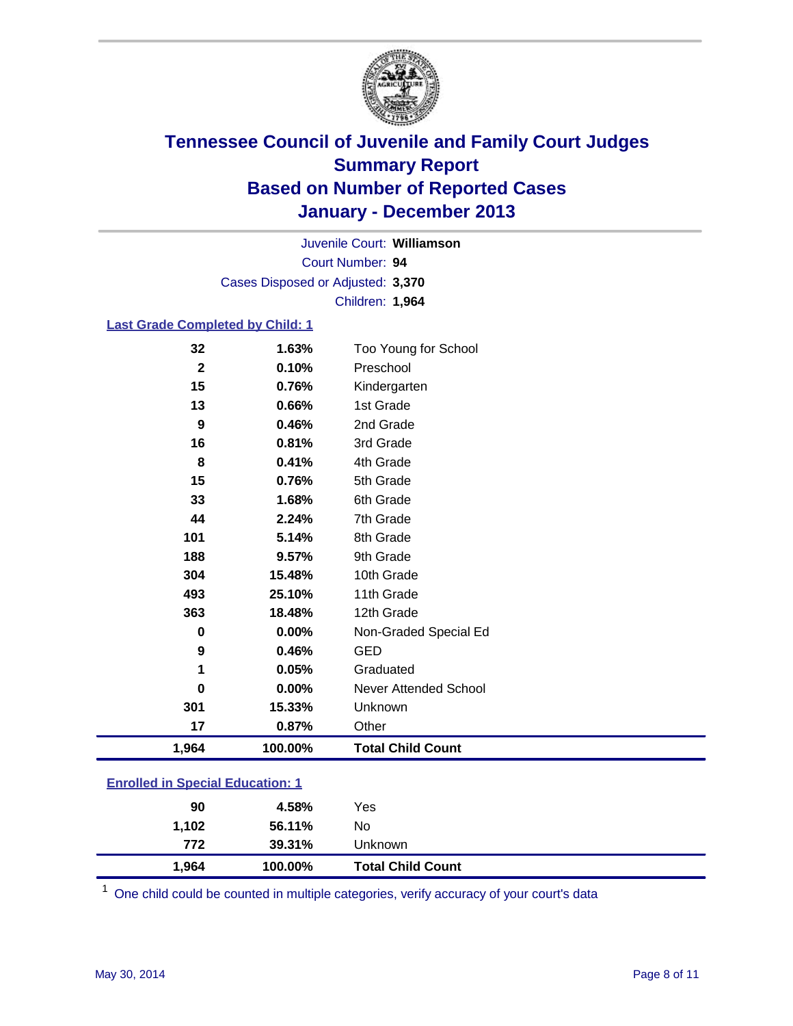

Court Number: **94** Juvenile Court: **Williamson** Cases Disposed or Adjusted: **3,370** Children: **1,964**

### **Last Grade Completed by Child: 1**

| 1,964       | 100.00% | <b>Total Child Count</b> |
|-------------|---------|--------------------------|
| 17          | 0.87%   | Other                    |
| 301         | 15.33%  | Unknown                  |
| 0           | 0.00%   | Never Attended School    |
| 1           | 0.05%   | Graduated                |
| 9           | 0.46%   | <b>GED</b>               |
| $\bf{0}$    | 0.00%   | Non-Graded Special Ed    |
| 363         | 18.48%  | 12th Grade               |
| 493         | 25.10%  | 11th Grade               |
| 304         | 15.48%  | 10th Grade               |
| 188         | 9.57%   | 9th Grade                |
| 101         | 5.14%   | 8th Grade                |
| 44          | 2.24%   | 7th Grade                |
| 33          | 1.68%   | 6th Grade                |
| 15          | 0.76%   | 5th Grade                |
| 8           | 0.41%   | 4th Grade                |
| 16          | 0.81%   | 3rd Grade                |
| 9           | 0.46%   | 2nd Grade                |
| 13          | 0.66%   | 1st Grade                |
| 15          | 0.76%   | Kindergarten             |
| $\mathbf 2$ | 0.10%   | Preschool                |
| 32          | 1.63%   | Too Young for School     |

### **Enrolled in Special Education: 1**

| 1,964 | 100.00% | <b>Total Child Count</b> |
|-------|---------|--------------------------|
| 772   | 39.31%  | Unknown                  |
| 1.102 | 56.11%  | No                       |
| 90    | 4.58%   | Yes                      |
|       |         |                          |

One child could be counted in multiple categories, verify accuracy of your court's data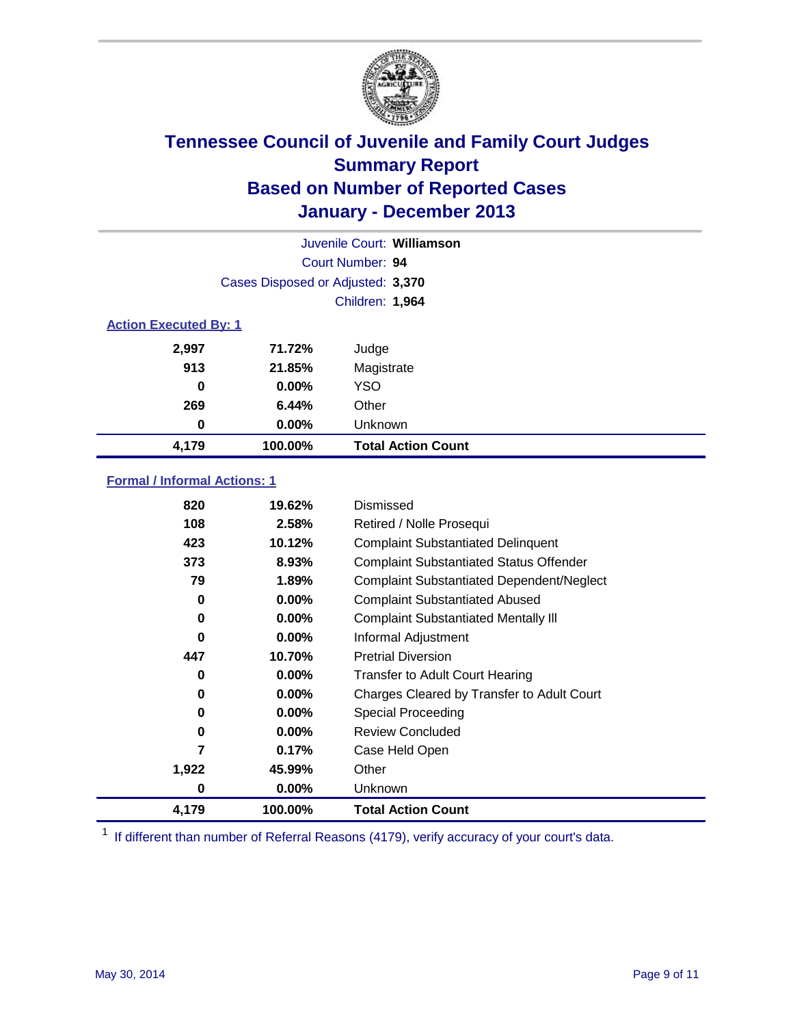

|                              | Juvenile Court: Williamson        |                           |  |  |
|------------------------------|-----------------------------------|---------------------------|--|--|
|                              |                                   | Court Number: 94          |  |  |
|                              | Cases Disposed or Adjusted: 3,370 |                           |  |  |
|                              |                                   | Children: 1,964           |  |  |
| <b>Action Executed By: 1</b> |                                   |                           |  |  |
| 2,997                        | 71.72%                            | Judge                     |  |  |
| 913                          | 21.85%                            | Magistrate                |  |  |
| 0                            | $0.00\%$                          | <b>YSO</b>                |  |  |
| 269                          | 6.44%                             | Other                     |  |  |
| 0                            | $0.00\%$                          | Unknown                   |  |  |
| 4,179                        | 100.00%                           | <b>Total Action Count</b> |  |  |

### **Formal / Informal Actions: 1**

| 820   | 19.62%   | Dismissed                                        |
|-------|----------|--------------------------------------------------|
| 108   | 2.58%    | Retired / Nolle Prosequi                         |
| 423   | 10.12%   | <b>Complaint Substantiated Delinquent</b>        |
| 373   | 8.93%    | <b>Complaint Substantiated Status Offender</b>   |
| 79    | 1.89%    | <b>Complaint Substantiated Dependent/Neglect</b> |
| 0     | 0.00%    | <b>Complaint Substantiated Abused</b>            |
| 0     | $0.00\%$ | <b>Complaint Substantiated Mentally III</b>      |
| 0     | $0.00\%$ | Informal Adjustment                              |
| 447   | 10.70%   | <b>Pretrial Diversion</b>                        |
| 0     | $0.00\%$ | <b>Transfer to Adult Court Hearing</b>           |
| 0     | $0.00\%$ | Charges Cleared by Transfer to Adult Court       |
| 0     | $0.00\%$ | Special Proceeding                               |
| 0     | $0.00\%$ | <b>Review Concluded</b>                          |
| 7     | 0.17%    | Case Held Open                                   |
| 1,922 | 45.99%   | Other                                            |
| 0     | $0.00\%$ | Unknown                                          |
| 4,179 | 100.00%  | <b>Total Action Count</b>                        |

<sup>1</sup> If different than number of Referral Reasons (4179), verify accuracy of your court's data.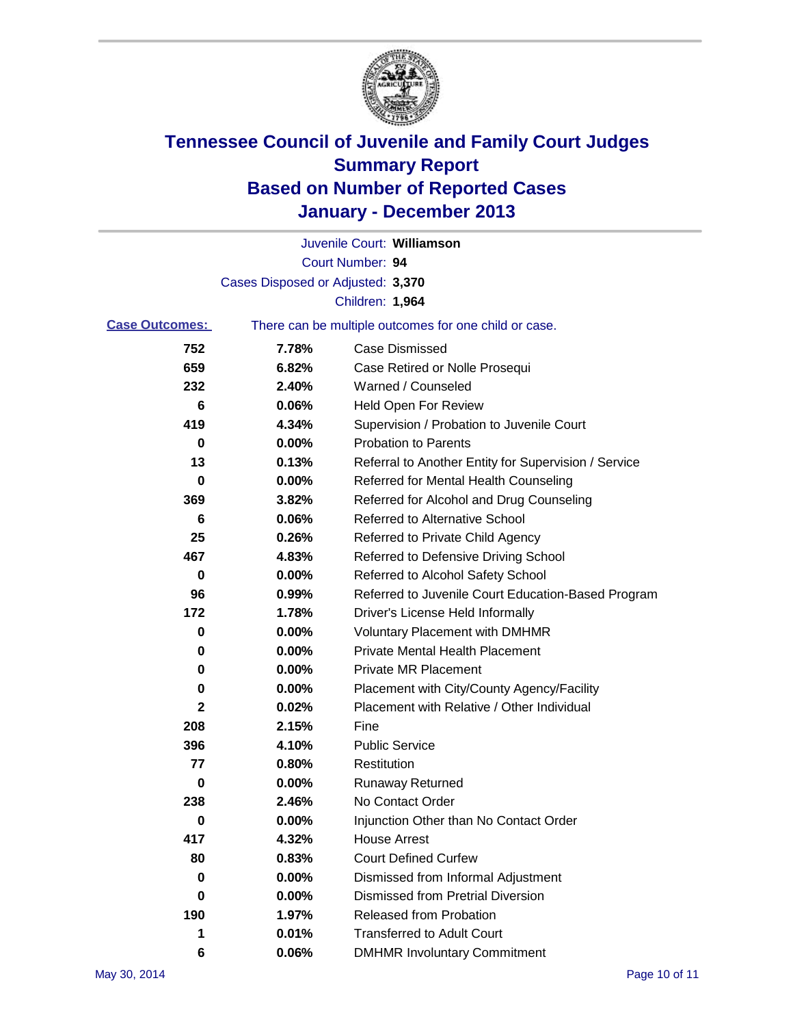

|                       |                                   | Juvenile Court: Williamson                            |
|-----------------------|-----------------------------------|-------------------------------------------------------|
|                       |                                   | Court Number: 94                                      |
|                       | Cases Disposed or Adjusted: 3,370 |                                                       |
|                       |                                   | Children: 1,964                                       |
| <b>Case Outcomes:</b> |                                   | There can be multiple outcomes for one child or case. |
| 752                   | 7.78%                             | <b>Case Dismissed</b>                                 |
| 659                   | 6.82%                             | Case Retired or Nolle Prosequi                        |
| 232                   | 2.40%                             | Warned / Counseled                                    |
| 6                     | 0.06%                             | <b>Held Open For Review</b>                           |
| 419                   | 4.34%                             | Supervision / Probation to Juvenile Court             |
| 0                     | 0.00%                             | <b>Probation to Parents</b>                           |
| 13                    | 0.13%                             | Referral to Another Entity for Supervision / Service  |
| 0                     | 0.00%                             | Referred for Mental Health Counseling                 |
| 369                   | 3.82%                             | Referred for Alcohol and Drug Counseling              |
| 6                     | 0.06%                             | Referred to Alternative School                        |
| 25                    | 0.26%                             | Referred to Private Child Agency                      |
| 467                   | 4.83%                             | Referred to Defensive Driving School                  |
| 0                     | 0.00%                             | Referred to Alcohol Safety School                     |
| 96                    | 0.99%                             | Referred to Juvenile Court Education-Based Program    |
| 172                   | 1.78%                             | Driver's License Held Informally                      |
| 0                     | 0.00%                             | <b>Voluntary Placement with DMHMR</b>                 |
| 0                     | 0.00%                             | <b>Private Mental Health Placement</b>                |
| 0                     | 0.00%                             | <b>Private MR Placement</b>                           |
| 0                     | 0.00%                             | Placement with City/County Agency/Facility            |
| 2                     | 0.02%                             | Placement with Relative / Other Individual            |
| 208                   | 2.15%                             | Fine                                                  |
| 396                   | 4.10%                             | <b>Public Service</b>                                 |
| 77                    | 0.80%                             | Restitution                                           |
| 0                     | 0.00%                             | <b>Runaway Returned</b>                               |
| 238                   | 2.46%                             | No Contact Order                                      |
| o                     | $0.00\%$                          | Injunction Other than No Contact Order                |
| 417                   | 4.32%                             | <b>House Arrest</b>                                   |
| 80                    | 0.83%                             | <b>Court Defined Curfew</b>                           |
| 0                     | 0.00%                             | Dismissed from Informal Adjustment                    |
| 0                     | 0.00%                             | <b>Dismissed from Pretrial Diversion</b>              |
| 190                   | 1.97%                             | Released from Probation                               |
| 1                     | 0.01%                             | <b>Transferred to Adult Court</b>                     |
| 6                     | 0.06%                             | <b>DMHMR Involuntary Commitment</b>                   |